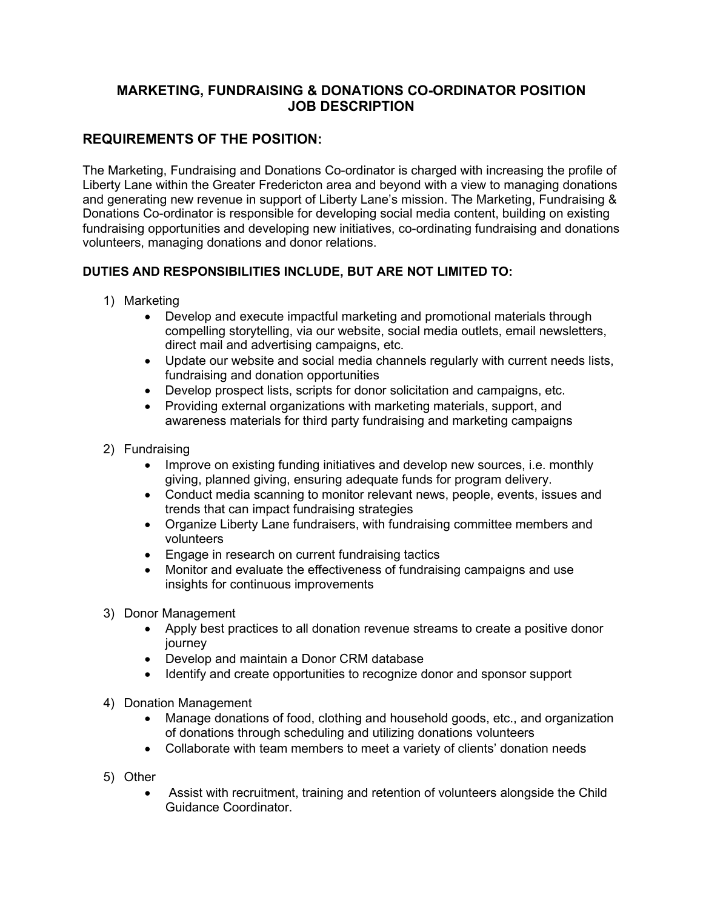### **MARKETING, FUNDRAISING & DONATIONS CO-ORDINATOR POSITION JOB DESCRIPTION**

# **REQUIREMENTS OF THE POSITION:**

The Marketing, Fundraising and Donations Co-ordinator is charged with increasing the profile of Liberty Lane within the Greater Fredericton area and beyond with a view to managing donations and generating new revenue in support of Liberty Lane's mission. The Marketing, Fundraising & Donations Co-ordinator is responsible for developing social media content, building on existing fundraising opportunities and developing new initiatives, co-ordinating fundraising and donations volunteers, managing donations and donor relations.

## **DUTIES AND RESPONSIBILITIES INCLUDE, BUT ARE NOT LIMITED TO:**

- 1) Marketing
	- Develop and execute impactful marketing and promotional materials through compelling storytelling, via our website, social media outlets, email newsletters, direct mail and advertising campaigns, etc.
	- Update our website and social media channels regularly with current needs lists, fundraising and donation opportunities
	- Develop prospect lists, scripts for donor solicitation and campaigns, etc.
	- Providing external organizations with marketing materials, support, and awareness materials for third party fundraising and marketing campaigns
- 2) Fundraising
	- Improve on existing funding initiatives and develop new sources, i.e. monthly giving, planned giving, ensuring adequate funds for program delivery.
	- Conduct media scanning to monitor relevant news, people, events, issues and trends that can impact fundraising strategies
	- Organize Liberty Lane fundraisers, with fundraising committee members and volunteers
	- Engage in research on current fundraising tactics
	- Monitor and evaluate the effectiveness of fundraising campaigns and use insights for continuous improvements
- 3) Donor Management
	- Apply best practices to all donation revenue streams to create a positive donor journey
	- Develop and maintain a Donor CRM database
	- Identify and create opportunities to recognize donor and sponsor support
- 4) Donation Management
	- Manage donations of food, clothing and household goods, etc., and organization of donations through scheduling and utilizing donations volunteers
	- Collaborate with team members to meet a variety of clients' donation needs
- 5) Other
	- Assist with recruitment, training and retention of volunteers alongside the Child Guidance Coordinator.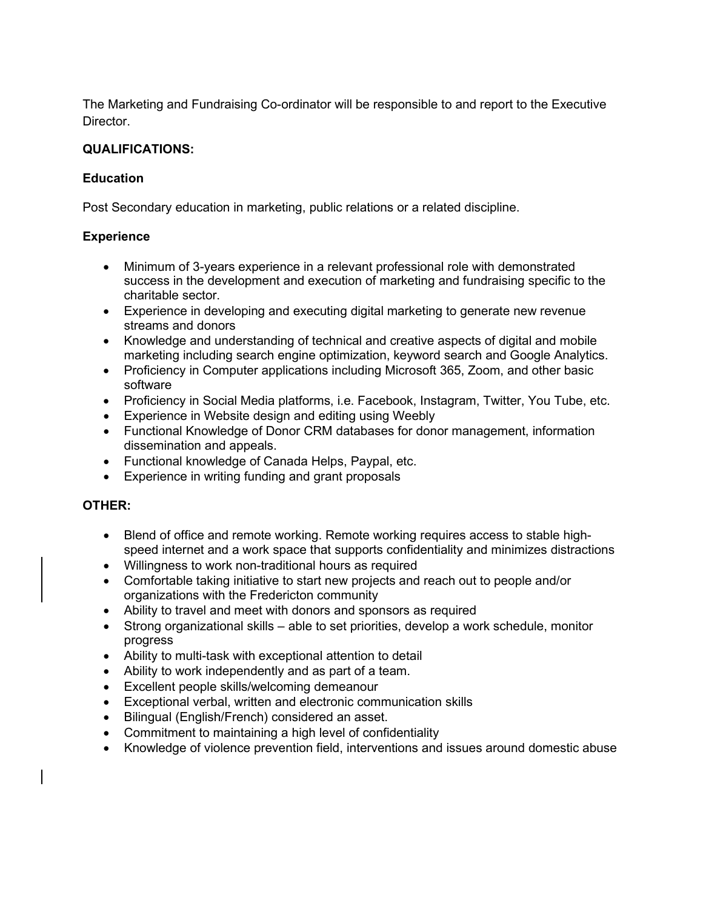The Marketing and Fundraising Co-ordinator will be responsible to and report to the Executive Director.

#### **QUALIFICATIONS:**

#### **Education**

Post Secondary education in marketing, public relations or a related discipline.

### **Experience**

- Minimum of 3-years experience in a relevant professional role with demonstrated success in the development and execution of marketing and fundraising specific to the charitable sector.
- Experience in developing and executing digital marketing to generate new revenue streams and donors
- Knowledge and understanding of technical and creative aspects of digital and mobile marketing including search engine optimization, keyword search and Google Analytics.
- Proficiency in Computer applications including Microsoft 365, Zoom, and other basic software
- Proficiency in Social Media platforms, i.e. Facebook, Instagram, Twitter, You Tube, etc.
- Experience in Website design and editing using Weebly
- Functional Knowledge of Donor CRM databases for donor management, information dissemination and appeals.
- Functional knowledge of Canada Helps, Paypal, etc.
- Experience in writing funding and grant proposals

### **OTHER:**

- Blend of office and remote working. Remote working requires access to stable highspeed internet and a work space that supports confidentiality and minimizes distractions
- Willingness to work non-traditional hours as required
- Comfortable taking initiative to start new projects and reach out to people and/or organizations with the Fredericton community
- Ability to travel and meet with donors and sponsors as required
- Strong organizational skills able to set priorities, develop a work schedule, monitor progress
- Ability to multi-task with exceptional attention to detail
- Ability to work independently and as part of a team.
- Excellent people skills/welcoming demeanour
- Exceptional verbal, written and electronic communication skills
- Bilingual (English/French) considered an asset.
- Commitment to maintaining a high level of confidentiality
- Knowledge of violence prevention field, interventions and issues around domestic abuse